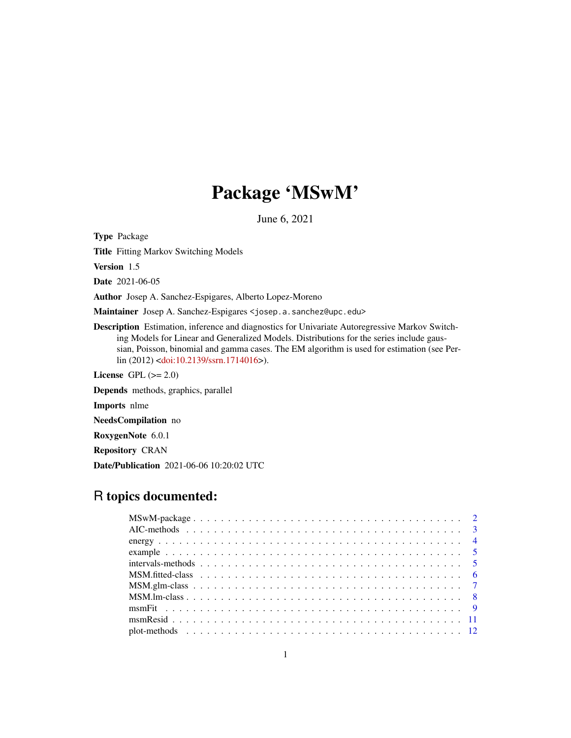# Package 'MSwM'

June 6, 2021

<span id="page-0-0"></span>Type Package

Title Fitting Markov Switching Models

Version 1.5

Date 2021-06-05

Author Josep A. Sanchez-Espigares, Alberto Lopez-Moreno

Maintainer Josep A. Sanchez-Espigares <josep.a.sanchez@upc.edu>

Description Estimation, inference and diagnostics for Univariate Autoregressive Markov Switching Models for Linear and Generalized Models. Distributions for the series include gaussian, Poisson, binomial and gamma cases. The EM algorithm is used for estimation (see Perlin (2012) [<doi:10.2139/ssrn.1714016>](https://doi.org/10.2139/ssrn.1714016)).

License GPL  $(>= 2.0)$ 

Depends methods, graphics, parallel

Imports nlme

NeedsCompilation no

RoxygenNote 6.0.1

Repository CRAN

Date/Publication 2021-06-06 10:20:02 UTC

## R topics documented: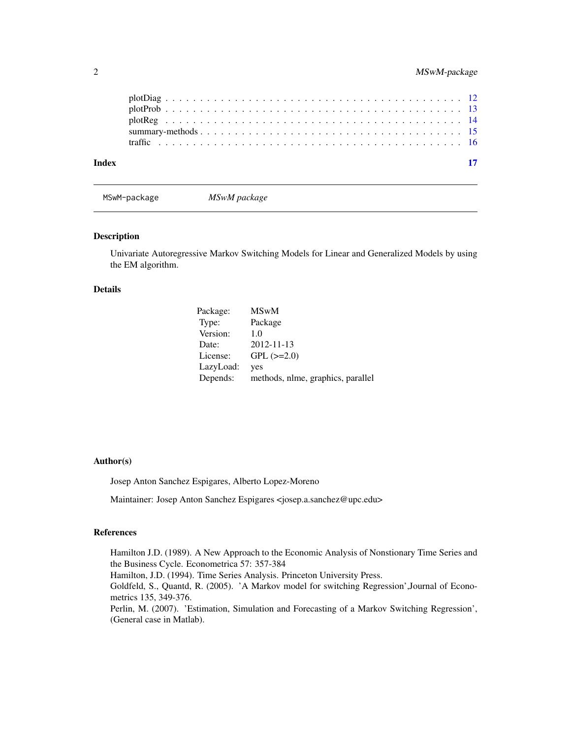<span id="page-1-0"></span>

| Index |  |
|-------|--|
|       |  |
|       |  |
|       |  |
|       |  |
|       |  |

<span id="page-1-1"></span>MSwM-package *MSwM package*

#### Description

Univariate Autoregressive Markov Switching Models for Linear and Generalized Models by using the EM algorithm.

#### Details

| Package:  | <b>MSwM</b>                       |
|-----------|-----------------------------------|
| Type:     | Package                           |
| Version:  | 1.0                               |
| Date:     | 2012-11-13                        |
| License:  | $GPL$ $(>=2.0)$                   |
| LazyLoad: | yes                               |
| Depends:  | methods, nlme, graphics, parallel |

#### Author(s)

Josep Anton Sanchez Espigares, Alberto Lopez-Moreno

Maintainer: Josep Anton Sanchez Espigares <josep.a.sanchez@upc.edu>

### References

Hamilton J.D. (1989). A New Approach to the Economic Analysis of Nonstionary Time Series and the Business Cycle. Econometrica 57: 357-384 Hamilton, J.D. (1994). Time Series Analysis. Princeton University Press. Goldfeld, S., Quantd, R. (2005). 'A Markov model for switching Regression',Journal of Econometrics 135, 349-376. Perlin, M. (2007). 'Estimation, Simulation and Forecasting of a Markov Switching Regression', (General case in Matlab).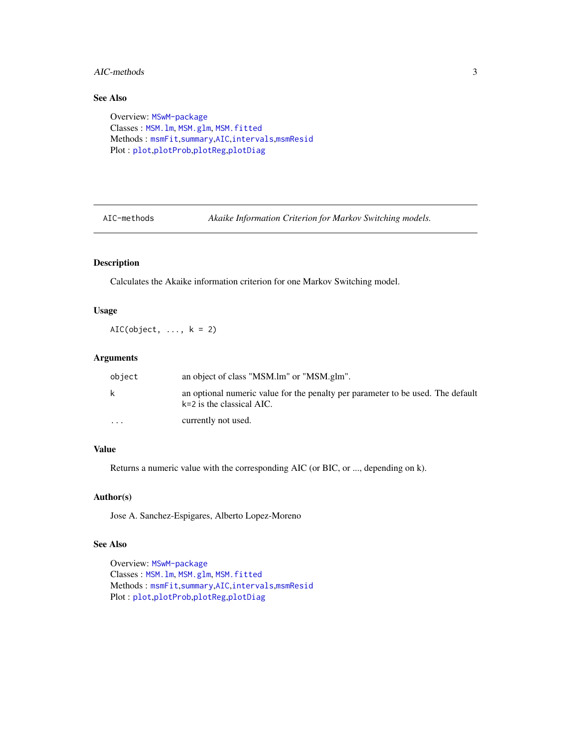### <span id="page-2-0"></span>AIC-methods 3

## See Also

```
Overview: MSwM-package
Classes : MSM.lm, MSM.glm, MSM.fitted
Methods : msmFit,summary,AIC,intervals,msmResid
Plot : plot,plotProb,plotReg,plotDiag
```
AIC-methods *Akaike Information Criterion for Markov Switching models.*

### <span id="page-2-1"></span>Description

Calculates the Akaike information criterion for one Markov Switching model.

### Usage

AIC(object,  $\dots$ ,  $k = 2$ )

### Arguments

| object                  | an object of class "MSM.lm" or "MSM.glm".                                                                      |
|-------------------------|----------------------------------------------------------------------------------------------------------------|
| k                       | an optional numeric value for the penalty per parameter to be used. The default<br>$k=2$ is the classical AIC. |
| $\cdot$ $\cdot$ $\cdot$ | currently not used.                                                                                            |

### Value

Returns a numeric value with the corresponding AIC (or BIC, or ..., depending on k).

### Author(s)

Jose A. Sanchez-Espigares, Alberto Lopez-Moreno

### See Also

Overview: [MSwM-package](#page-1-1) Classes : [MSM.lm](#page-7-1), [MSM.glm](#page-6-1), [MSM.fitted](#page-5-1) Methods : [msmFit](#page-8-1),[summary](#page-14-1),[AIC](#page-2-1),[intervals](#page-4-1),[msmResid](#page-10-1) Plot : [plot](#page-11-1),[plotProb](#page-12-1),[plotReg](#page-13-1),[plotDiag](#page-11-2)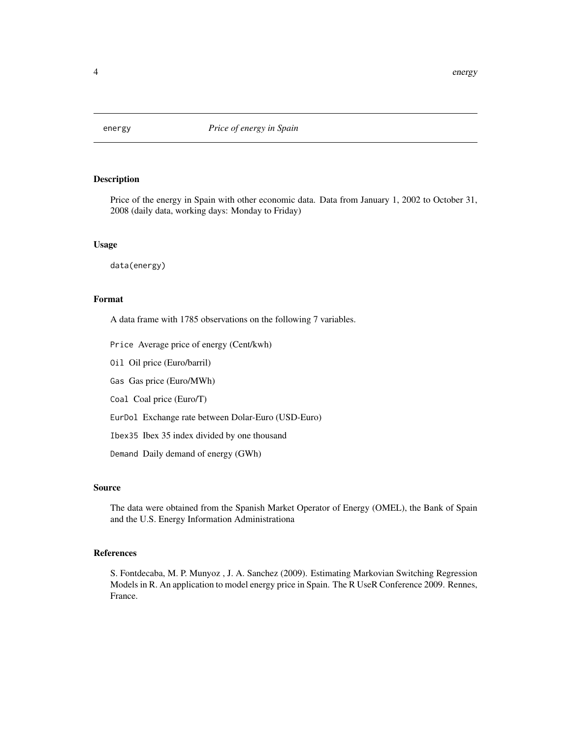<span id="page-3-0"></span>

Price of the energy in Spain with other economic data. Data from January 1, 2002 to October 31, 2008 (daily data, working days: Monday to Friday)

### Usage

data(energy)

### Format

A data frame with 1785 observations on the following 7 variables.

Price Average price of energy (Cent/kwh)

Oil Oil price (Euro/barril)

Gas Gas price (Euro/MWh)

Coal Coal price (Euro/T)

EurDol Exchange rate between Dolar-Euro (USD-Euro)

Ibex35 Ibex 35 index divided by one thousand

Demand Daily demand of energy (GWh)

### Source

The data were obtained from the Spanish Market Operator of Energy (OMEL), the Bank of Spain and the U.S. Energy Information Administrationa

### References

S. Fontdecaba, M. P. Munyoz , J. A. Sanchez (2009). Estimating Markovian Switching Regression Models in R. An application to model energy price in Spain. The R UseR Conference 2009. Rennes, France.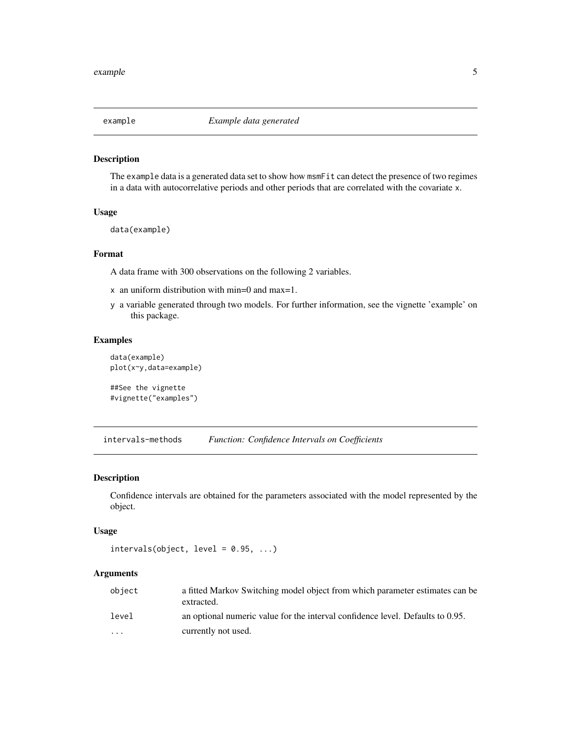<span id="page-4-0"></span>

The example data is a generated data set to show how msmFit can detect the presence of two regimes in a data with autocorrelative periods and other periods that are correlated with the covariate x.

#### Usage

data(example)

### Format

A data frame with 300 observations on the following 2 variables.

- x an uniform distribution with min=0 and max=1.
- y a variable generated through two models. For further information, see the vignette 'example' on this package.

### Examples

```
data(example)
plot(x~y,data=example)
```

```
##See the vignette
#vignette("examples")
```
intervals-methods *Function: Confidence Intervals on Coefficients*

### <span id="page-4-1"></span>Description

Confidence intervals are obtained for the parameters associated with the model represented by the object.

#### Usage

```
intervals(object, level = 0.95, ...)
```
#### Arguments

| object   | a fitted Markov Switching model object from which parameter estimates can be<br>extracted. |
|----------|--------------------------------------------------------------------------------------------|
| level    | an optional numeric value for the interval confidence level. Defaults to 0.95.             |
| $\cdots$ | currently not used.                                                                        |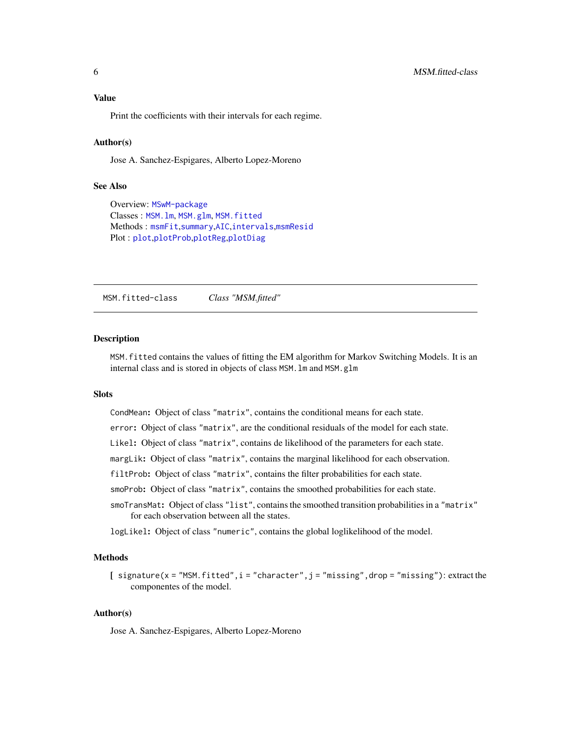<span id="page-5-0"></span>Print the coefficients with their intervals for each regime.

#### Author(s)

Jose A. Sanchez-Espigares, Alberto Lopez-Moreno

#### See Also

```
Overview: MSwM-package
Classes : MSM.lm, MSM.glm, MSM.fitted
Methods : msmFit,summary,AIC,intervals,msmResid
Plot : plot,plotProb,plotReg,plotDiag
```
<span id="page-5-1"></span>MSM.fitted-class *Class "MSM.fitted"*

#### Description

MSM.fitted contains the values of fitting the EM algorithm for Markov Switching Models. It is an internal class and is stored in objects of class MSM.lm and MSM.glm

### Slots

CondMean: Object of class "matrix", contains the conditional means for each state.

error: Object of class "matrix", are the conditional residuals of the model for each state.

Likel: Object of class "matrix", contains de likelihood of the parameters for each state.

margLik: Object of class "matrix", contains the marginal likelihood for each observation.

filtProb: Object of class "matrix", contains the filter probabilities for each state.

smoProb: Object of class "matrix", contains the smoothed probabilities for each state.

smoTransMat: Object of class "list", contains the smoothed transition probabilities in a "matrix" for each observation between all the states.

logLikel: Object of class "numeric", contains the global loglikelihood of the model.

### Methods

[  $signature(x = "MSM. fitted", i = "character", j = "missing", drop = "missing"); extract the$ componentes of the model.

#### Author(s)

Jose A. Sanchez-Espigares, Alberto Lopez-Moreno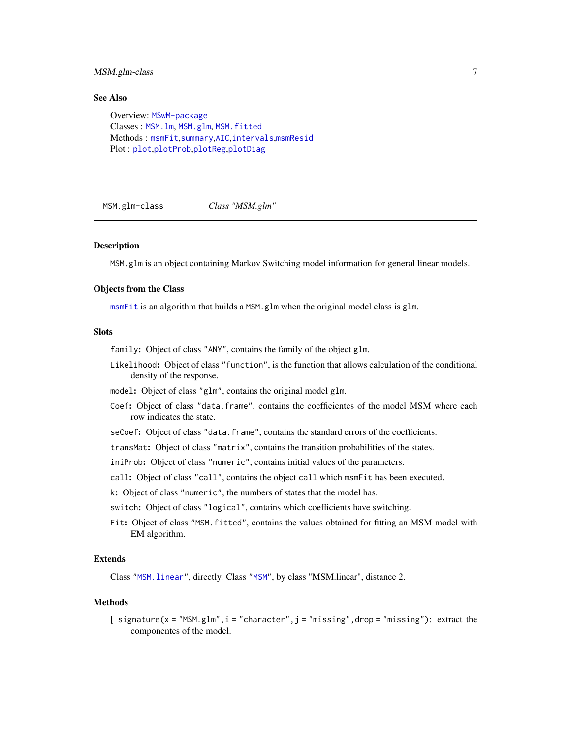### <span id="page-6-0"></span>MSM.glm-class 7

### See Also

Overview: [MSwM-package](#page-1-1) Classes : [MSM.lm](#page-7-1), [MSM.glm](#page-6-1), [MSM.fitted](#page-5-1) Methods : [msmFit](#page-8-1),[summary](#page-14-1),[AIC](#page-2-1),[intervals](#page-4-1),[msmResid](#page-10-1) Plot : [plot](#page-11-1),[plotProb](#page-12-1),[plotReg](#page-13-1),[plotDiag](#page-11-2)

<span id="page-6-1"></span>MSM.glm-class *Class "MSM.glm"*

#### Description

MSM.glm is an object containing Markov Switching model information for general linear models.

#### Objects from the Class

[msmFit](#page-8-1) is an algorithm that builds a MSM.glm when the original model class is glm.

#### **Slots**

family: Object of class "ANY", contains the family of the object glm.

- Likelihood: Object of class "function", is the function that allows calculation of the conditional density of the response.
- model: Object of class "glm", contains the original model glm.
- Coef: Object of class "data.frame", contains the coefficientes of the model MSM where each row indicates the state.
- seCoef: Object of class "data.frame", contains the standard errors of the coefficients.

transMat: Object of class "matrix", contains the transition probabilities of the states.

iniProb: Object of class "numeric", contains initial values of the parameters.

call: Object of class "call", contains the object call which msmFit has been executed.

k: Object of class "numeric", the numbers of states that the model has.

switch: Object of class "logical", contains which coefficients have switching.

Fit: Object of class "MSM. fitted", contains the values obtained for fitting an MSM model with EM algorithm.

## Extends

Class ["MSM.linear"](#page-0-0), directly. Class ["MSM"](#page-0-0), by class "MSM.linear", distance 2.

#### Methods

[  $signature(x = "MSM.glm", i = "character", j = "missing", drop = "missing": extract the$ componentes of the model.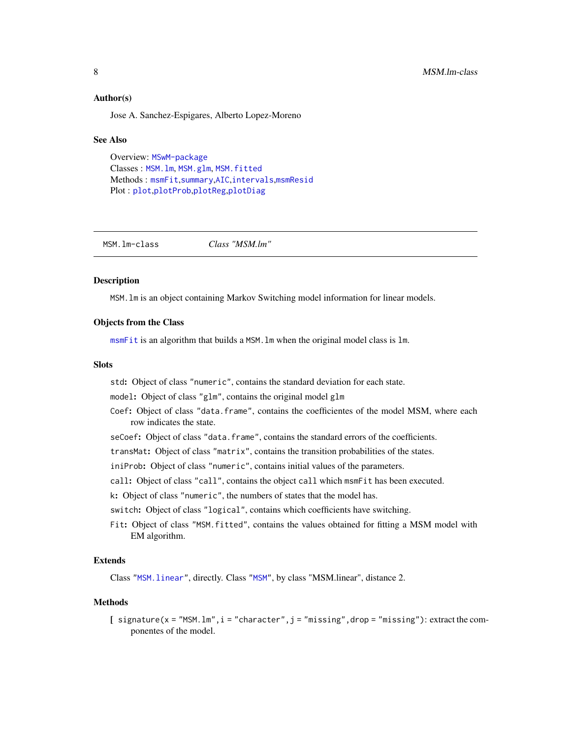#### <span id="page-7-0"></span>Author(s)

Jose A. Sanchez-Espigares, Alberto Lopez-Moreno

#### See Also

Overview: [MSwM-package](#page-1-1) Classes : [MSM.lm](#page-7-1), [MSM.glm](#page-6-1), [MSM.fitted](#page-5-1) Methods : [msmFit](#page-8-1),[summary](#page-14-1),[AIC](#page-2-1),[intervals](#page-4-1),[msmResid](#page-10-1) Plot : [plot](#page-11-1),[plotProb](#page-12-1),[plotReg](#page-13-1),[plotDiag](#page-11-2)

<span id="page-7-1"></span>MSM.lm-class *Class "MSM.lm"*

#### Description

MSM.lm is an object containing Markov Switching model information for linear models.

### Objects from the Class

[msmFit](#page-8-1) is an algorithm that builds a MSM.lm when the original model class is lm.

#### **Slots**

- std: Object of class "numeric", contains the standard deviation for each state.
- model: Object of class "glm", contains the original model glm
- Coef: Object of class "data.frame", contains the coefficientes of the model MSM, where each row indicates the state.
- seCoef: Object of class "data.frame", contains the standard errors of the coefficients.
- transMat: Object of class "matrix", contains the transition probabilities of the states.
- iniProb: Object of class "numeric", contains initial values of the parameters.
- call: Object of class "call", contains the object call which msmFit has been executed.
- k: Object of class "numeric", the numbers of states that the model has.

switch: Object of class "logical", contains which coefficients have switching.

Fit: Object of class "MSM.fitted", contains the values obtained for fitting a MSM model with EM algorithm.

#### Extends

Class ["MSM.linear"](#page-0-0), directly. Class ["MSM"](#page-0-0), by class "MSM.linear", distance 2.

#### Methods

 $[$  signature(x = "MSM.lm",  $i$  = "character",  $j$  = "missing", drop = "missing"): extract the componentes of the model.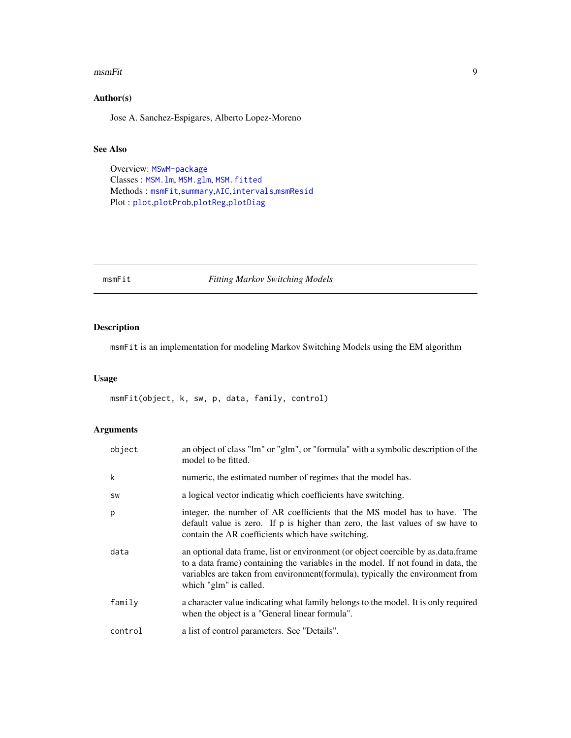#### <span id="page-8-0"></span>msmFit 9

### Author(s)

Jose A. Sanchez-Espigares, Alberto Lopez-Moreno

### See Also

Overview: [MSwM-package](#page-1-1) Classes : [MSM.lm](#page-7-1), [MSM.glm](#page-6-1), [MSM.fitted](#page-5-1) Methods : [msmFit](#page-8-1),[summary](#page-14-1),[AIC](#page-2-1),[intervals](#page-4-1),[msmResid](#page-10-1) Plot : [plot](#page-11-1),[plotProb](#page-12-1),[plotReg](#page-13-1),[plotDiag](#page-11-2)

<span id="page-8-1"></span>msmFit *Fitting Markov Switching Models*

### Description

msmFit is an implementation for modeling Markov Switching Models using the EM algorithm

#### Usage

msmFit(object, k, sw, p, data, family, control)

### Arguments

| object  | an object of class "lm" or "glm", or "formula" with a symbolic description of the<br>model to be fitted.                                                                                                                                                                           |
|---------|------------------------------------------------------------------------------------------------------------------------------------------------------------------------------------------------------------------------------------------------------------------------------------|
| k       | numeric, the estimated number of regimes that the model has.                                                                                                                                                                                                                       |
| SW      | a logical vector indicatig which coefficients have switching.                                                                                                                                                                                                                      |
| р       | integer, the number of AR coefficients that the MS model has to have. The<br>default value is zero. If p is higher than zero, the last values of sw have to<br>contain the AR coefficients which have switching.                                                                   |
| data    | an optional data frame, list or environment (or object coercible by as data frame<br>to a data frame) containing the variables in the model. If not found in data, the<br>variables are taken from environment (formula), typically the environment from<br>which "glm" is called. |
| family  | a character value indicating what family belongs to the model. It is only required<br>when the object is a "General linear formula".                                                                                                                                               |
| control | a list of control parameters. See "Details".                                                                                                                                                                                                                                       |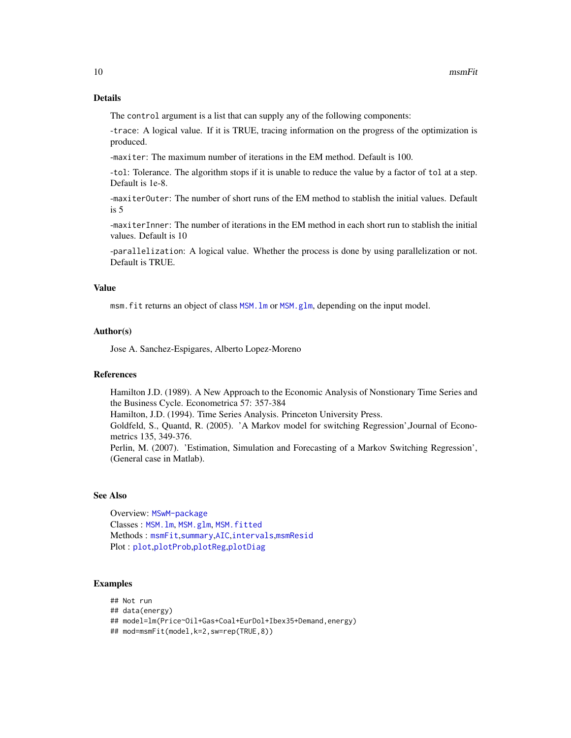### <span id="page-9-0"></span>Details

The control argument is a list that can supply any of the following components:

-trace: A logical value. If it is TRUE, tracing information on the progress of the optimization is produced.

-maxiter: The maximum number of iterations in the EM method. Default is 100.

-tol: Tolerance. The algorithm stops if it is unable to reduce the value by a factor of tol at a step. Default is 1e-8.

-maxiterOuter: The number of short runs of the EM method to stablish the initial values. Default is 5

-maxiterInner: The number of iterations in the EM method in each short run to stablish the initial values. Default is 10

-parallelization: A logical value. Whether the process is done by using parallelization or not. Default is TRUE.

### Value

msm.fit returns an object of class [MSM.lm](#page-7-1) or [MSM.glm](#page-6-1), depending on the input model.

#### Author(s)

Jose A. Sanchez-Espigares, Alberto Lopez-Moreno

### References

Hamilton J.D. (1989). A New Approach to the Economic Analysis of Nonstionary Time Series and the Business Cycle. Econometrica 57: 357-384 Hamilton, J.D. (1994). Time Series Analysis. Princeton University Press. Goldfeld, S., Quantd, R. (2005). 'A Markov model for switching Regression',Journal of Econometrics 135, 349-376. Perlin, M. (2007). 'Estimation, Simulation and Forecasting of a Markov Switching Regression', (General case in Matlab).

#### See Also

Overview: [MSwM-package](#page-1-1) Classes : [MSM.lm](#page-7-1), [MSM.glm](#page-6-1), [MSM.fitted](#page-5-1) Methods : [msmFit](#page-8-1),[summary](#page-14-1),[AIC](#page-2-1),[intervals](#page-4-1),[msmResid](#page-10-1) Plot : [plot](#page-11-1),[plotProb](#page-12-1),[plotReg](#page-13-1),[plotDiag](#page-11-2)

#### Examples

```
## Not run
## data(energy)
## model=lm(Price~Oil+Gas+Coal+EurDol+Ibex35+Demand,energy)
## mod=msmFit(model,k=2,sw=rep(TRUE,8))
```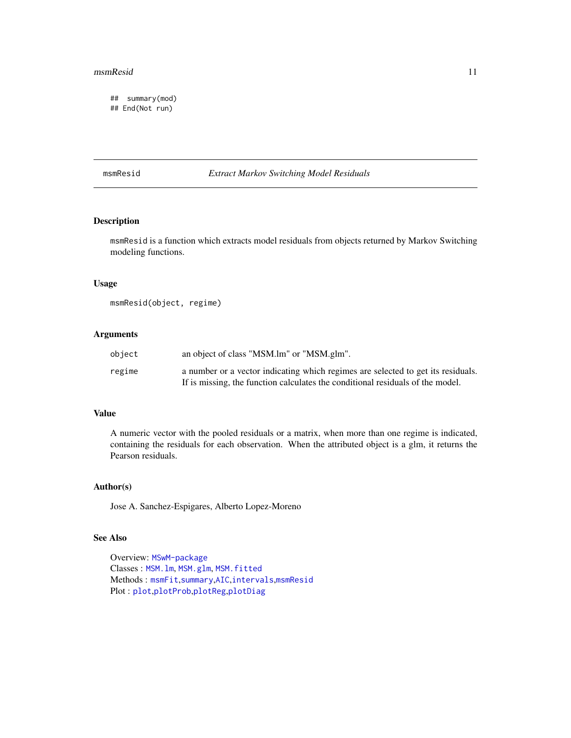#### <span id="page-10-0"></span>msmResid 11

## summary(mod) ## End(Not run)

#### <span id="page-10-1"></span>msmResid *Extract Markov Switching Model Residuals*

### Description

msmResid is a function which extracts model residuals from objects returned by Markov Switching modeling functions.

### Usage

```
msmResid(object, regime)
```
### Arguments

| object | an object of class "MSM.lm" or "MSM.glm".                                        |
|--------|----------------------------------------------------------------------------------|
| regime | a number or a vector indicating which regimes are selected to get its residuals. |
|        | If is missing, the function calculates the conditional residuals of the model.   |

#### Value

A numeric vector with the pooled residuals or a matrix, when more than one regime is indicated, containing the residuals for each observation. When the attributed object is a glm, it returns the Pearson residuals.

### Author(s)

Jose A. Sanchez-Espigares, Alberto Lopez-Moreno

### See Also

Overview: [MSwM-package](#page-1-1) Classes : [MSM.lm](#page-7-1), [MSM.glm](#page-6-1), [MSM.fitted](#page-5-1) Methods : [msmFit](#page-8-1),[summary](#page-14-1),[AIC](#page-2-1),[intervals](#page-4-1),[msmResid](#page-10-1) Plot : [plot](#page-11-1),[plotProb](#page-12-1),[plotReg](#page-13-1),[plotDiag](#page-11-2)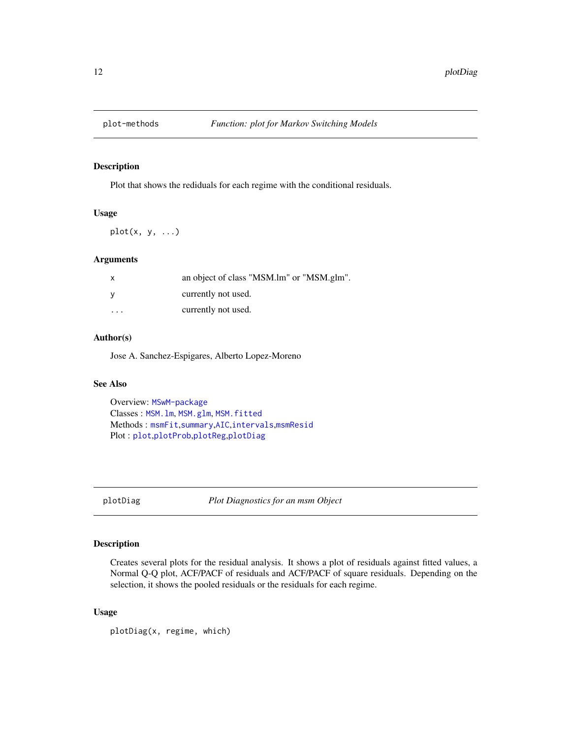<span id="page-11-1"></span><span id="page-11-0"></span>

Plot that shows the rediduals for each regime with the conditional residuals.

### Usage

 $plot(x, y, ...)$ 

### Arguments

| X. | an object of class "MSM.lm" or "MSM.glm". |
|----|-------------------------------------------|
|    | currently not used.                       |
| .  | currently not used.                       |

### Author(s)

Jose A. Sanchez-Espigares, Alberto Lopez-Moreno

### See Also

Overview: [MSwM-package](#page-1-1) Classes : [MSM.lm](#page-7-1), [MSM.glm](#page-6-1), [MSM.fitted](#page-5-1) Methods : [msmFit](#page-8-1),[summary](#page-14-1),[AIC](#page-2-1),[intervals](#page-4-1),[msmResid](#page-10-1) Plot : [plot](#page-11-1),[plotProb](#page-12-1),[plotReg](#page-13-1),[plotDiag](#page-11-2)

<span id="page-11-2"></span>

plotDiag *Plot Diagnostics for an msm Object*

### Description

Creates several plots for the residual analysis. It shows a plot of residuals against fitted values, a Normal Q-Q plot, ACF/PACF of residuals and ACF/PACF of square residuals. Depending on the selection, it shows the pooled residuals or the residuals for each regime.

#### Usage

plotDiag(x, regime, which)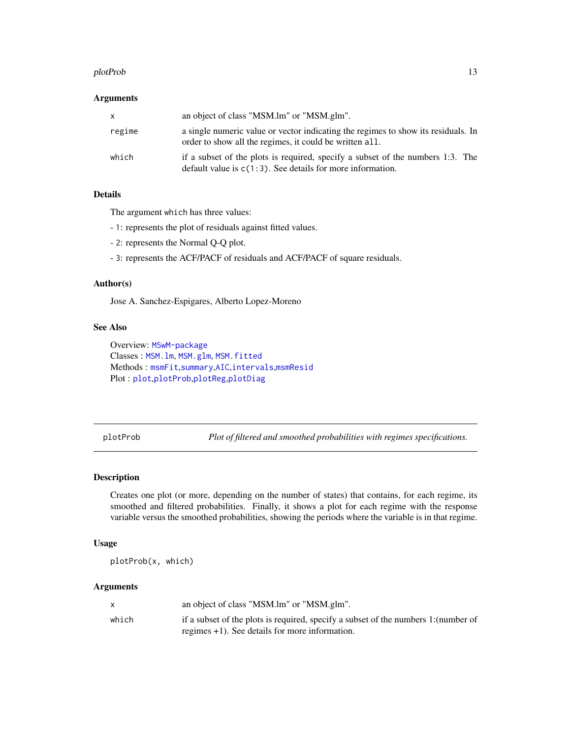#### <span id="page-12-0"></span>plotProb the contract of the contract of the contract of the contract of the contract of the contract of the contract of the contract of the contract of the contract of the contract of the contract of the contract of the c

#### **Arguments**

| X      | an object of class "MSM.lm" or "MSM.glm".                                                                                                       |
|--------|-------------------------------------------------------------------------------------------------------------------------------------------------|
| regime | a single numeric value or vector indicating the regimes to show its residuals. In<br>order to show all the regimes, it could be written all.    |
| which  | if a subset of the plots is required, specify a subset of the numbers 1:3. The<br>default value is $c(1:3)$ . See details for more information. |

### Details

The argument which has three values:

- 1: represents the plot of residuals against fitted values.
- 2: represents the Normal Q-Q plot.
- 3: represents the ACF/PACF of residuals and ACF/PACF of square residuals.

### Author(s)

Jose A. Sanchez-Espigares, Alberto Lopez-Moreno

#### See Also

Overview: [MSwM-package](#page-1-1) Classes : [MSM.lm](#page-7-1), [MSM.glm](#page-6-1), [MSM.fitted](#page-5-1) Methods : [msmFit](#page-8-1),[summary](#page-14-1),[AIC](#page-2-1),[intervals](#page-4-1),[msmResid](#page-10-1) Plot : [plot](#page-11-1),[plotProb](#page-12-1),[plotReg](#page-13-1),[plotDiag](#page-11-2)

<span id="page-12-1"></span>plotProb *Plot of filtered and smoothed probabilities with regimes specifications.*

### Description

Creates one plot (or more, depending on the number of states) that contains, for each regime, its smoothed and filtered probabilities. Finally, it shows a plot for each regime with the response variable versus the smoothed probabilities, showing the periods where the variable is in that regime.

#### Usage

plotProb(x, which)

#### Arguments

|       | an object of class "MSM.lm" or "MSM.glm".                                           |
|-------|-------------------------------------------------------------------------------------|
| which | if a subset of the plots is required, specify a subset of the numbers 1: (number of |
|       | regimes $+1$ ). See details for more information.                                   |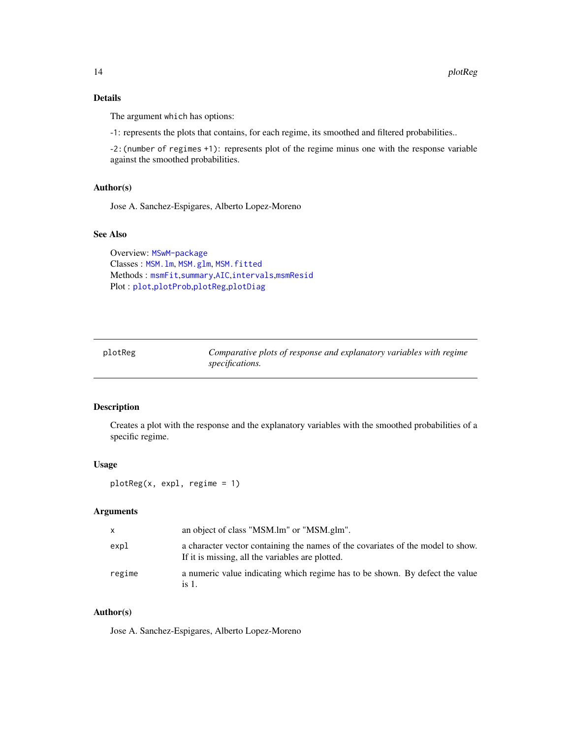### <span id="page-13-0"></span>Details

The argument which has options:

-1: represents the plots that contains, for each regime, its smoothed and filtered probabilities..

-2:(number of regimes +1): represents plot of the regime minus one with the response variable against the smoothed probabilities.

### Author(s)

Jose A. Sanchez-Espigares, Alberto Lopez-Moreno

### See Also

Overview: [MSwM-package](#page-1-1) Classes : [MSM.lm](#page-7-1), [MSM.glm](#page-6-1), [MSM.fitted](#page-5-1) Methods : [msmFit](#page-8-1),[summary](#page-14-1),[AIC](#page-2-1),[intervals](#page-4-1),[msmResid](#page-10-1) Plot : [plot](#page-11-1),[plotProb](#page-12-1),[plotReg](#page-13-1),[plotDiag](#page-11-2)

<span id="page-13-1"></span>plotReg *Comparative plots of response and explanatory variables with regime specifications.*

### Description

Creates a plot with the response and the explanatory variables with the smoothed probabilities of a specific regime.

#### Usage

plotReg(x, expl, regime = 1)

#### Arguments

| $\mathsf{x}$ | an object of class "MSM.lm" or "MSM.glm".                                                                                           |
|--------------|-------------------------------------------------------------------------------------------------------------------------------------|
| expl         | a character vector containing the names of the covariates of the model to show.<br>If it is missing, all the variables are plotted. |
| regime       | a numeric value indicating which regime has to be shown. By defect the value<br>is $1$ .                                            |

### Author(s)

Jose A. Sanchez-Espigares, Alberto Lopez-Moreno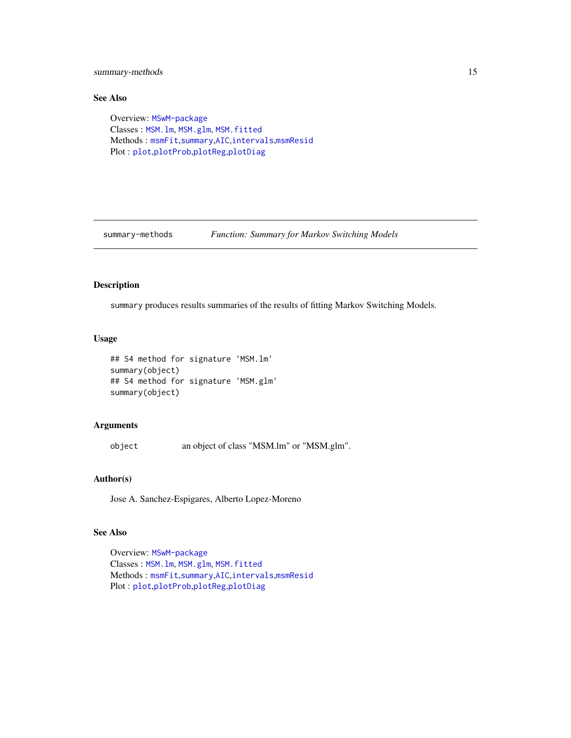<span id="page-14-0"></span>summary-methods 15

### See Also

Overview: [MSwM-package](#page-1-1) Classes : [MSM.lm](#page-7-1), [MSM.glm](#page-6-1), [MSM.fitted](#page-5-1) Methods : [msmFit](#page-8-1),[summary](#page-14-1),[AIC](#page-2-1),[intervals](#page-4-1),[msmResid](#page-10-1) Plot : [plot](#page-11-1),[plotProb](#page-12-1),[plotReg](#page-13-1),[plotDiag](#page-11-2)

summary-methods *Function: Summary for Markov Switching Models*

### <span id="page-14-1"></span>Description

summary produces results summaries of the results of fitting Markov Switching Models.

### Usage

```
## S4 method for signature 'MSM.lm'
summary(object)
## S4 method for signature 'MSM.glm'
summary(object)
```
### Arguments

object an object of class "MSM.lm" or "MSM.glm".

#### Author(s)

Jose A. Sanchez-Espigares, Alberto Lopez-Moreno

### See Also

Overview: [MSwM-package](#page-1-1) Classes : [MSM.lm](#page-7-1), [MSM.glm](#page-6-1), [MSM.fitted](#page-5-1) Methods : [msmFit](#page-8-1),[summary](#page-14-1),[AIC](#page-2-1),[intervals](#page-4-1),[msmResid](#page-10-1) Plot : [plot](#page-11-1),[plotProb](#page-12-1),[plotReg](#page-13-1),[plotDiag](#page-11-2)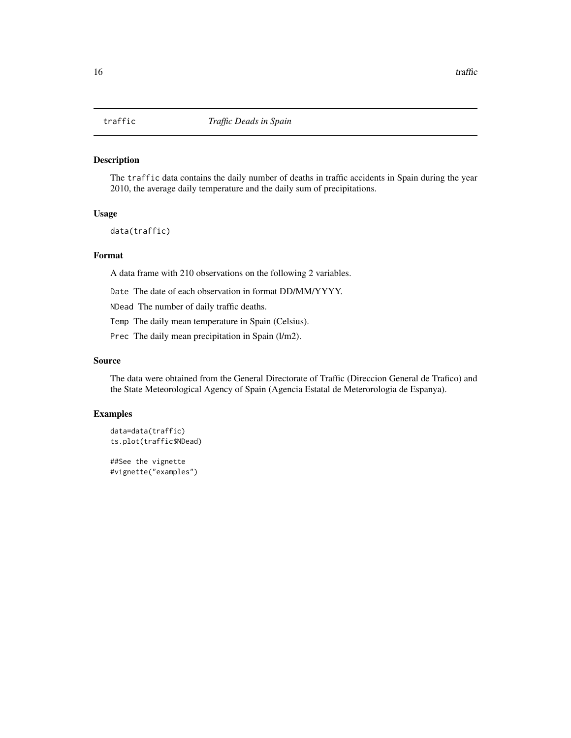<span id="page-15-0"></span>The traffic data contains the daily number of deaths in traffic accidents in Spain during the year 2010, the average daily temperature and the daily sum of precipitations.

#### Usage

data(traffic)

### Format

A data frame with 210 observations on the following 2 variables.

Date The date of each observation in format DD/MM/YYYY.

NDead The number of daily traffic deaths.

Temp The daily mean temperature in Spain (Celsius).

Prec The daily mean precipitation in Spain (l/m2).

#### Source

The data were obtained from the General Directorate of Traffic (Direccion General de Trafico) and the State Meteorological Agency of Spain (Agencia Estatal de Meterorologia de Espanya).

### Examples

```
data=data(traffic)
ts.plot(traffic$NDead)
```
##See the vignette #vignette("examples")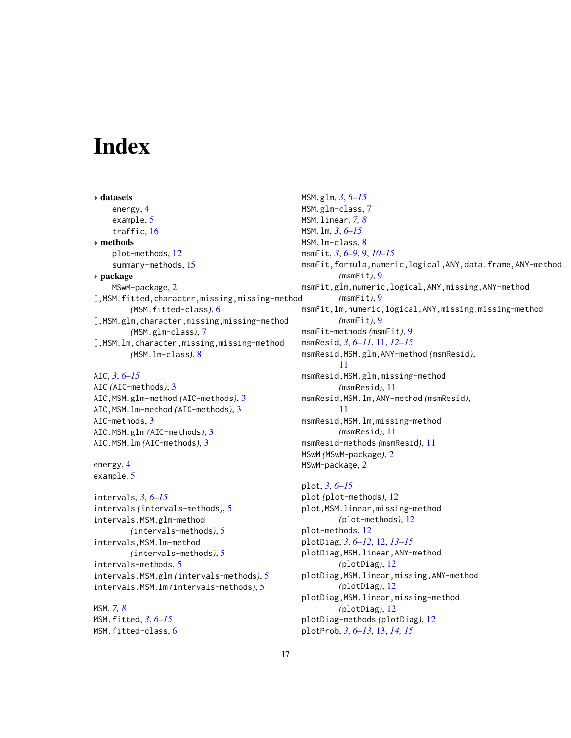# <span id="page-16-0"></span>**Index**

∗ datasets energy, [4](#page-3-0) example, [5](#page-4-0) traffic, [16](#page-15-0) ∗ methods plot-methods, [12](#page-11-0) summary-methods, [15](#page-14-0) ∗ package MSwM-package, [2](#page-1-0) [, MSM.fitted, character, missing, missing-method *(*MSM.fitted-class*)*, [6](#page-5-0) [, MSM.glm, character, missing, missing-method *(*MSM.glm-class*)*, [7](#page-6-0) [, MSM.  $lm$ , character, missing, missing-method *(*MSM.lm-class*)*, [8](#page-7-0)

AIC, *[3](#page-2-0)*, *[6](#page-5-0)[–15](#page-14-0)*

AIC *(*AIC-methods*)*, [3](#page-2-0) AIC,MSM.glm-method *(*AIC-methods*)*, [3](#page-2-0) AIC,MSM.lm-method *(*AIC-methods*)*, [3](#page-2-0) AIC-methods, [3](#page-2-0) AIC.MSM.glm *(*AIC-methods*)*, [3](#page-2-0) AIC.MSM.lm *(*AIC-methods*)*, [3](#page-2-0)

energy, [4](#page-3-0) example, [5](#page-4-0)

intervals, *[3](#page-2-0)*, *[6](#page-5-0)[–15](#page-14-0)* intervals *(*intervals-methods*)*, [5](#page-4-0) intervals,MSM.glm-method *(*intervals-methods*)*, [5](#page-4-0) intervals,MSM.lm-method *(*intervals-methods*)*, [5](#page-4-0) intervals-methods, [5](#page-4-0) intervals.MSM.glm *(*intervals-methods*)*, [5](#page-4-0) intervals.MSM.lm *(*intervals-methods*)*, [5](#page-4-0)

MSM, *[7,](#page-6-0) [8](#page-7-0)* MSM.fitted, *[3](#page-2-0)*, *[6](#page-5-0)[–15](#page-14-0)* MSM.fitted-class, [6](#page-5-0) MSM.glm, *[3](#page-2-0)*, *[6](#page-5-0)[–15](#page-14-0)* MSM.glm-class, [7](#page-6-0) MSM.linear, *[7,](#page-6-0) [8](#page-7-0)* MSM.lm, *[3](#page-2-0)*, *[6](#page-5-0)[–15](#page-14-0)* MSM.lm-class, [8](#page-7-0) msmFit, *[3](#page-2-0)*, *[6](#page-5-0)[–9](#page-8-0)*, [9,](#page-8-0) *[10](#page-9-0)[–15](#page-14-0)* msmFit,formula,numeric,logical,ANY,data.frame,ANY-method *(*msmFit*)*, [9](#page-8-0) msmFit,glm,numeric,logical,ANY,missing,ANY-method *(*msmFit*)*, [9](#page-8-0) msmFit,lm,numeric,logical,ANY,missing,missing-method *(*msmFit*)*, [9](#page-8-0) msmFit-methods *(*msmFit*)*, [9](#page-8-0) msmResid, *[3](#page-2-0)*, *[6](#page-5-0)[–11](#page-10-0)*, [11,](#page-10-0) *[12](#page-11-0)[–15](#page-14-0)* msmResid,MSM.glm,ANY-method *(*msmResid*)*, [11](#page-10-0) msmResid,MSM.glm,missing-method *(*msmResid*)*, [11](#page-10-0) msmResid,MSM.lm,ANY-method *(*msmResid*)*, [11](#page-10-0) msmResid,MSM.lm,missing-method *(*msmResid*)*, [11](#page-10-0) msmResid-methods *(*msmResid*)*, [11](#page-10-0) MSwM *(*MSwM-package*)*, [2](#page-1-0) MSwM-package, [2](#page-1-0)

plot, *[3](#page-2-0)*, *[6](#page-5-0)[–15](#page-14-0)* plot *(*plot-methods*)*, [12](#page-11-0) plot,MSM.linear,missing-method *(*plot-methods*)*, [12](#page-11-0) plot-methods, [12](#page-11-0) plotDiag, *[3](#page-2-0)*, *[6](#page-5-0)[–12](#page-11-0)*, [12,](#page-11-0) *[13](#page-12-0)[–15](#page-14-0)* plotDiag,MSM.linear,ANY-method *(*plotDiag*)*, [12](#page-11-0) plotDiag,MSM.linear,missing,ANY-method *(*plotDiag*)*, [12](#page-11-0) plotDiag,MSM.linear,missing-method *(*plotDiag*)*, [12](#page-11-0) plotDiag-methods *(*plotDiag*)*, [12](#page-11-0) plotProb, *[3](#page-2-0)*, *[6](#page-5-0)[–13](#page-12-0)*, [13,](#page-12-0) *[14,](#page-13-0) [15](#page-14-0)*